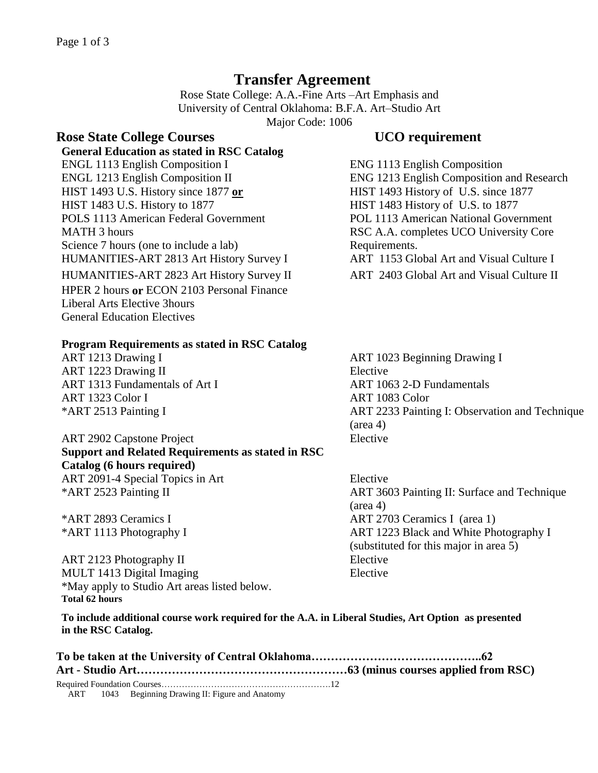# **Transfer Agreement**

Rose State College: A.A.-Fine Arts –Art Emphasis and University of Central Oklahoma: B.F.A. Art–Studio Art Major Code: 1006

### **Rose State College Courses UCO requirement**

### **General Education as stated in RSC Catalog**

ENGL 1113 English Composition I ENG 1113 English Composition ENGL 1213 English Composition II ENG 1213 English Composition and Research HIST 1493 U.S. History since 1877 or **HIST 1493 History of U.S. since 1877** HIST 1483 U.S. History to 1877 HIST 1483 History of U.S. to 1877 POLS 1113 American Federal Government POL 1113 American National Government MATH 3 hours **RSC A.A.** completes UCO University Core Science 7 hours (one to include a lab) Requirements. HUMANITIES-ART 2813 Art History Survey I ART 1153 Global Art and Visual Culture I HUMANITIES-ART 2823 Art History Survey II ART 2403 Global Art and Visual Culture II HPER 2 hours **or** ECON 2103 Personal Finance Liberal Arts Elective 3hours General Education Electives

### **Program Requirements as stated in RSC Catalog**

ART 1223 Drawing II Elective ART 1313 Fundamentals of Art I ART 1063 2-D Fundamentals ART 1323 Color I ART 1083 Color

ART 2902 Capstone Project Elective **Support and Related Requirements as stated in RSC Catalog (6 hours required)** ART 2091-4 Special Topics in Art Elective

\*ART 1113 Photography I

ART 2123 Photography II MULT 1413 Digital Imaging \*May apply to Studio Art areas listed below. **Total 62 hours**

ART 1213 Drawing I ART 1023 Beginning Drawing I \*ART 2513 Painting I ART 2233 Painting I: Observation and Technique (area 4)

\*ART 2523 Painting II ART 3603 Painting II: Surface and Technique (area 4) \*ART 2893 Ceramics I ART 2703 Ceramics I (area 1) ART 1223 Black and White Photography I (substituted for this major in area 5) Elective Elective

**To include additional course work required for the A.A. in Liberal Studies, Art Option as presented in the RSC Catalog.**

| $\mathbf{10}$ $\mathbf{0}$ $\mathbf{10}$ $\mathbf{0}$ $\mathbf{0}$ $\mathbf{0}$ $\mathbf{0}$ $\mathbf{10}$ $\mathbf{0}$ $\mathbf{10}$ $\mathbf{10}$ $\mathbf{10}$ $\mathbf{10}$ $\mathbf{10}$ $\mathbf{10}$ $\mathbf{10}$ $\mathbf{10}$ $\mathbf{10}$ $\mathbf{10}$ $\mathbf{10}$ $\mathbf{10}$ $\mathbf{10}$ $\mathbf{10$ |  |
|----------------------------------------------------------------------------------------------------------------------------------------------------------------------------------------------------------------------------------------------------------------------------------------------------------------------------|--|

ART 1043 Beginning Drawing II: Figure and Anatomy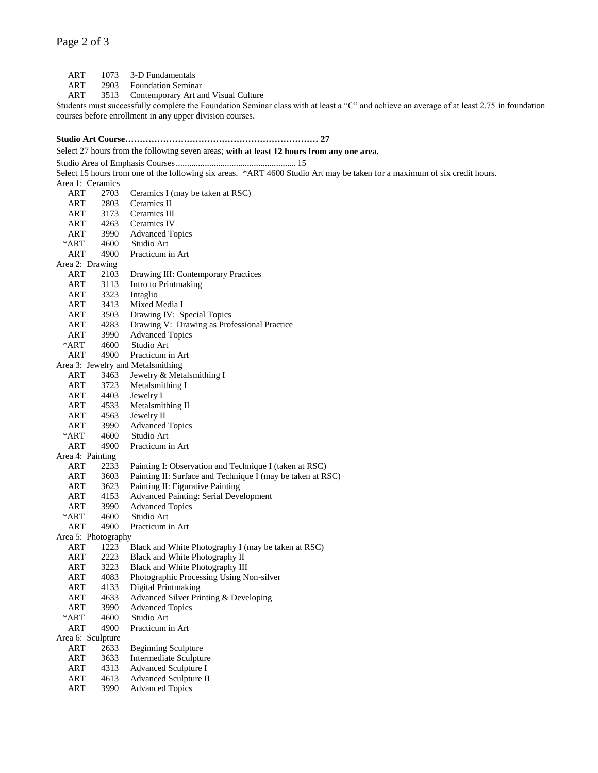- ART 1073 3-D Fundamentals
- ART 2903 Foundation Seminar<br>ART 3513 Contemporary Art an
- 3513 Contemporary Art and Visual Culture

Students must successfully complete the Foundation Seminar class with at least a "C" and achieve an average of at least 2.75 in foundation courses before enrollment in any upper division courses.

### **Studio Art Course………………………………………………………… 27**

Select 27 hours from the following seven areas; **with at least 12 hours from any one area.**

Studio Area of Emphasis Courses...................................................... 15

Select 15 hours from one of the following six areas. \*ART 4600 Studio Art may be taken for a maximum of six credit hours.

Area 1: Ceramics ART 2703 Ceramics I (may be taken at RSC) ART 2803 Ceramics II ART 3173 Ceramics III ART 4263 Ceramics IV ART 3990 Advanced Topics

- \*ART 4600 Studio Art
- ART 4900 Practicum in Art
- Area 2: Drawing
- ART 2103 Drawing III: Contemporary Practices
- ART 3113 Intro to Printmaking
- ART 3323 Intaglio
- ART 3413 Mixed Media I
- ART 3503 Drawing IV: Special Topics
- ART 4283 Drawing V: Drawing as Professional Practice
- ART 3990 Advanced Topics
- \*ART 4600 Studio Art
- ART 4900 Practicum in Art
- Area 3: Jewelry and Metalsmithing
- ART 3463 Jewelry & Metalsmithing I
- ART 3723 Metalsmithing I
- ART 4403 Jewelry I
- ART 4533 Metalsmithing II
- ART 4563 Jewelry II
- ART 3990 Advanced Topics<br>\*ART 4600 Studio Art
- 4600 Studio Art
- ART 4900 Practicum in Art Area 4: Painting
- ART 2233 Painting I: Observation and Technique I (taken at RSC)
- ART 3603 Painting II: Surface and Technique I (may be taken at RSC)
- ART 3623 Painting II: Figurative Painting
- ART 4153 Advanced Painting: Serial Development
- ART 3990 Advanced Topics
- \*ART 4600 Studio Art
- ART 4900 Practicum in Art
- Area 5: Photography
- 
- ART 1223 Black and White Photography I (may be taken at RSC)
- ART 2223 Black and White Photography II
- ART 3223 Black and White Photography III
- ART 4083 Photographic Processing Using Non-silver
- ART 4133 Digital Printmaking
- ART 4633 Advanced Silver Printing & Developing
- ART 3990 Advanced Topics
- \*ART 4600 Studio Art
- ART 4900 Practicum in Art
- Area 6: Sculpture ART 2633 Beginning Sculpture
	-
	- ART 3633 Intermediate Sculpture
- ART 4313 Advanced Sculpture I
- ART 4613 Advanced Sculpture II
- ART 3990 Advanced Topics